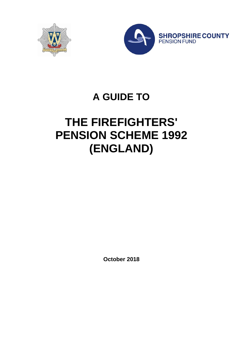



## **A GUIDE TO**

# **THE FIREFIGHTERS' PENSION SCHEME 1992 (ENGLAND)**

**October 2018**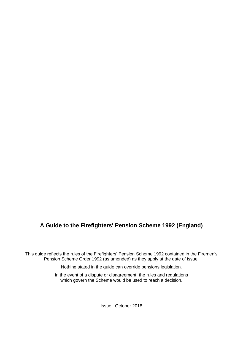## **A Guide to the Firefighters' Pension Scheme 1992 (England)**

This guide reflects the rules of the Firefighters' Pension Scheme 1992 contained in the Firemen's Pension Scheme Order 1992 (as amended) as they apply at the date of issue.

Nothing stated in the guide can override pensions legislation.

In the event of a dispute or disagreement, the rules and regulations which govern the Scheme would be used to reach a decision.

Issue: October 2018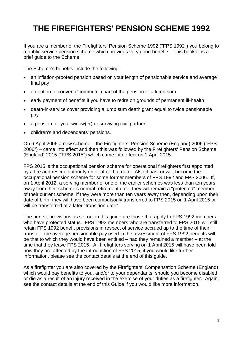## **THE FIREFIGHTERS' PENSION SCHEME 1992**

If you are a member of the Firefighters' Pension Scheme 1992 ("FPS 1992") you belong to a public service pension scheme which provides very good benefits. This booklet is a brief guide to the Scheme.

The Scheme's benefits include the following –

- an inflation-proofed pension based on your length of pensionable service and average final pay
- an option to convert ("commute") part of the pension to a lump sum
- early payment of benefits if you have to retire on grounds of permanent ill-health
- death-in-service cover providing a lump sum death grant equal to twice pensionable pay
- a pension for your widow(er) or surviving civil partner
- children's and dependants' pensions.

On 6 April 2006 a new scheme – the Firefighters' Pension Scheme (England) 2006 ("FPS 2006") – came into effect and then this was followed by the Firefighters' Pension Scheme (England) 2015 ("FPS 2015") which came into effect on 1 April 2015.

FPS 2015 is the occupational pension scheme for operational firefighters first appointed by a fire and rescue authority on or after that date. Also it has, or will, become the occupational pension scheme for some former members of FPS 1992 and FPS 2006. If, on 1 April 2012, a serving member of one of the earlier schemes was less than ten years away from their scheme's normal retirement date, they will remain a "protected" member of their current scheme; if they were more than ten years away then, depending upon their date of birth, they will have been compulsorily transferred to FPS 2015 on 1 April 2015 or will be transferred at a later "transition date".

The benefit provisions as set out in this guide are those that apply to FPS 1992 members who have protected status. FPS 1992 members who are transferred to FPS 2015 will still retain FPS 1992 benefit provisions in respect of service accrued up to the time of their transfer; the average pensionable pay used in the assessment of FPS 1992 benefits will be that to which they would have been entitled – had they remained a member – at the time that they leave FPS 2015. All firefighters serving on 1 April 2015 will have been told how they are affected by the introduction of FPS 2015; if you would like further information, please see the contact details at the end of this guide.

As a firefighter you are also covered by the Firefighters' Compensation Scheme (England) which would pay benefits to you, and/or to your dependants, should you become disabled or die as a result of an injury received in the exercise of your duties as a firefighter. Again, see the contact details at the end of this Guide if you would like more information.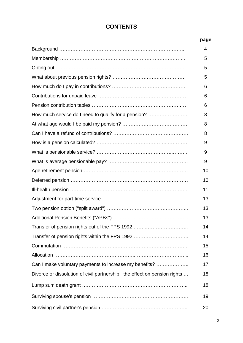## **CONTENTS**

#### **page**

|                                                                           | 4  |
|---------------------------------------------------------------------------|----|
|                                                                           | 5  |
|                                                                           | 5  |
|                                                                           | 5  |
|                                                                           | 6  |
|                                                                           | 6  |
|                                                                           | 6  |
| How much service do I need to qualify for a pension?                      | 8  |
|                                                                           | 8  |
|                                                                           | 8  |
|                                                                           | 9  |
|                                                                           | 9  |
|                                                                           | 9  |
|                                                                           | 10 |
|                                                                           | 10 |
|                                                                           | 11 |
|                                                                           | 13 |
|                                                                           | 13 |
|                                                                           | 13 |
|                                                                           | 14 |
|                                                                           | 14 |
|                                                                           | 15 |
|                                                                           | 16 |
| Can I make voluntary payments to increase my benefits?                    | 17 |
| Divorce or dissolution of civil partnership: the effect on pension rights | 18 |
|                                                                           | 18 |
|                                                                           | 19 |
|                                                                           | 20 |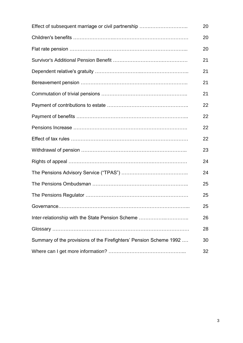| Effect of subsequent marriage or civil partnership                 | 20 |
|--------------------------------------------------------------------|----|
|                                                                    | 20 |
|                                                                    | 20 |
|                                                                    | 21 |
|                                                                    | 21 |
|                                                                    | 21 |
|                                                                    | 21 |
|                                                                    | 22 |
|                                                                    | 22 |
|                                                                    | 22 |
|                                                                    | 22 |
|                                                                    | 23 |
|                                                                    | 24 |
|                                                                    | 24 |
|                                                                    | 25 |
|                                                                    | 25 |
|                                                                    | 25 |
| Inter-relationship with the State Pension Scheme                   | 26 |
|                                                                    | 28 |
| Summary of the provisions of the Firefighters' Pension Scheme 1992 | 30 |
|                                                                    | 32 |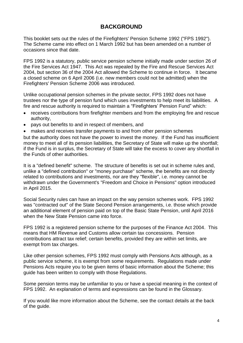#### **BACKGROUND**

This booklet sets out the rules of the Firefighters' Pension Scheme 1992 ("FPS 1992"). The Scheme came into effect on 1 March 1992 but has been amended on a number of occasions since that date.

FPS 1992 is a statutory, public service pension scheme initially made under section 26 of the Fire Services Act 1947. This Act was repealed by the Fire and Rescue Services Act 2004, but section 36 of the 2004 Act allowed the Scheme to continue in force. It became a closed scheme on 6 April 2006 (i.e. new members could not be admitted) when the Firefighters' Pension Scheme 2006 was introduced.

Unlike occupational pension schemes in the private sector, FPS 1992 does not have trustees nor the type of pension fund which uses investments to help meet its liabilities. A fire and rescue authority is required to maintain a "Firefighters' Pension Fund" which:

- receives contributions from firefighter members and from the employing fire and rescue authority,
- pays out benefits to and in respect of members, and
- makes and receives transfer payments to and from other pension schemes

but the authority does not have the power to invest the money. If the Fund has insufficient money to meet all of its pension liabilities, the Secretary of State will make up the shortfall; if the Fund is in surplus, the Secretary of State will take the excess to cover any shortfall in the Funds of other authorities.

It is a "defined benefit" scheme. The structure of benefits is set out in scheme rules and, unlike a "defined contribution" or "money purchase" scheme, the benefits are not directly related to contributions and investments, nor are they "flexible", i.e. money cannot be withdrawn under the Government's "Freedom and Choice in Pensions" option introduced in April 2015.

Social Security rules can have an impact on the way pension schemes work. FPS 1992 was "contracted out" of the State Second Pension arrangements, i.e. those which provide an additional element of pension paid on top of the Basic State Pension, until April 2016 when the New State Pension came into force.

FPS 1992 is a registered pension scheme for the purposes of the Finance Act 2004. This means that HM Revenue and Customs allow certain tax concessions. Pension contributions attract tax relief; certain benefits, provided they are within set limits, are exempt from tax charges.

Like other pension schemes, FPS 1992 must comply with Pensions Acts although, as a public service scheme, it is exempt from some requirements. Regulations made under Pensions Acts require you to be given items of basic information about the Scheme; this guide has been written to comply with those Regulations.

Some pension terms may be unfamiliar to you or have a special meaning in the context of FPS 1992. An explanation of terms and expressions can be found in the Glossary.

If you would like more information about the Scheme, see the contact details at the back of the guide.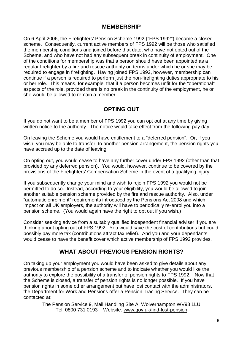#### **MEMBERSHIP**

On 6 April 2006, the Firefighters' Pension Scheme 1992 ("FPS 1992") became a closed scheme. Consequently, current active members of FPS 1992 will be those who satisfied the membership conditions and joined before that date, who have not opted out of the Scheme, and who have not had any subsequent break in continuity of employment. One of the conditions for membership was that a person should have been appointed as a regular firefighter by a fire and rescue authority on terms under which he or she may be required to engage in firefighting. Having joined FPS 1992, however, membership can continue if a person is required to perform just the non-firefighting duties appropriate to his or her role. This means, for example, that if a person becomes unfit for the "operational" aspects of the role, provided there is no break in the continuity of the employment, he or she would be allowed to remain a member.

## **OPTING OUT**

If you do not want to be a member of FPS 1992 you can opt out at any time by giving written notice to the authority. The notice would take effect from the following pay day.

On leaving the Scheme you would have entitlement to a "deferred pension". Or, if you wish, you may be able to transfer, to another pension arrangement, the pension rights you have accrued up to the date of leaving.

On opting out, you would cease to have any further cover under FPS 1992 (other than that provided by any deferred pension). You would, however, continue to be covered by the provisions of the Firefighters' Compensation Scheme in the event of a qualifying injury.

If you subsequently change your mind and wish to rejoin FPS 1992 you would not be permitted to do so. Instead, according to your eligibility, you would be allowed to join another suitable pension scheme provided by the fire and rescue authority. Also, under "automatic enrolment" requirements introduced by the Pensions Act 2008 and which impact on all UK employers, the authority will have to periodically re-enrol you into a pension scheme. (You would again have the right to opt out if you wish.)

Consider seeking advice from a suitably qualified independent financial adviser if you are thinking about opting out of FPS 1992. You would save the cost of contributions but could possibly pay more tax (contributions attract tax relief). And you and your dependants would cease to have the benefit cover which active membership of FPS 1992 provides.

## **WHAT ABOUT PREVIOUS PENSION RIGHTS?**

On taking up your employment you would have been asked to give details about any previous membership of a pension scheme and to indicate whether you would like the authority to explore the possibility of a transfer of pension rights to FPS 1992. Now that the Scheme is closed, a transfer of pension rights is no longer possible. If you have pension rights in some other arrangement but have lost contact with the administrators, the Department for Work and Pensions offer a Pension Tracing Service. They can be contacted at:

The Pension Service 9, Mail Handling Site A, Wolverhampton WV98 1LU Tel: 0800 731 0193 Website: [www.gov.uk/find-lost-pension](http://www.gov.uk/find-lost-pension)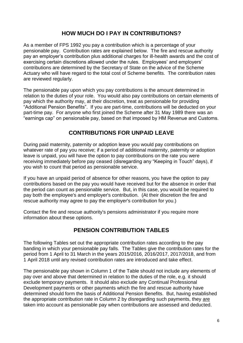#### **HOW MUCH DO I PAY IN CONTRIBUTIONS?**

As a member of FPS 1992 you pay a contribution which is a percentage of your pensionable pay. Contribution rates are explained below. The fire and rescue authority pay an employer's contribution plus additional charges for ill-health awards and the cost of exercising certain discretions allowed under the rules. Employees' and employers' contributions are determined by the Secretary of State on the advice of the Scheme Actuary who will have regard to the total cost of Scheme benefits. The contribution rates are reviewed regularly.

The pensionable pay upon which you pay contributions is the amount determined in relation to the duties of your role. You would also pay contributions on certain elements of pay which the authority may, at their discretion, treat as pensionable for providing "Additional Pension Benefits". If you are part-time, contributions will be deducted on your part-time pay. For anyone who first joined the Scheme after 31 May 1989 there was an "earnings cap" on pensionable pay, based on that imposed by HM Revenue and Customs.

#### **CONTRIBUTIONS FOR UNPAID LEAVE**

During paid maternity, paternity or adoption leave you would pay contributions on whatever rate of pay you receive; if a period of additional maternity, paternity or adoption leave is unpaid, you will have the option to pay contributions on the rate you were receiving immediately before pay ceased (disregarding any "Keeping in Touch" days), if you wish to count that period as pensionable service.

If you have an unpaid period of absence for other reasons, you have the option to pay contributions based on the pay you would have received but for the absence in order that the period can count as pensionable service. But, in this case, you would be required to pay both the employee's and employer's contribution. (At their discretion the fire and rescue authority may agree to pay the employer's contribution for you.)

Contact the fire and rescue authority's pensions administrator if you require more information about these options.

## **PENSION CONTRIBUTION TABLES**

The following Tables set out the appropriate contribution rates according to the pay banding in which your pensionable pay falls. The Tables give the contribution rates for the period from 1 April to 31 March in the years 2015/2016, 2016/2017, 2017/2018, and from 1 April 2018 until any revised contribution rates are introduced and take effect.

The pensionable pay shown in Column 1 of the Table should not include any elements of pay over and above that determined in relation to the duties of the role, e.g. it should exclude temporary payments. It should also exclude any Continual Professional Development payments or other payments which the fire and rescue authority have determined should form the basis of Additional Pension Benefits. But, having established the appropriate contribution rate in Column 2 by disregarding such payments, they are taken into account as pensionable pay when contributions are assessed and deducted.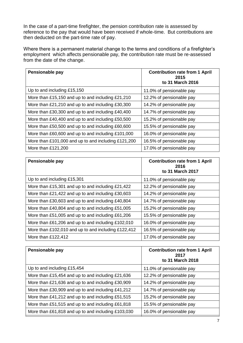In the case of a part-time firefighter, the pension contribution rate is assessed by reference to the pay that would have been received if whole-time. But contributions are then deducted on the part-time rate of pay.

Where there is a permanent material change to the terms and conditions of a firefighter's employment which affects pensionable pay, the contribution rate must be re-assessed from the date of the change.

| Pensionable pay                                     | <b>Contribution rate from 1 April</b><br>2015<br>to 31 March 2016 |
|-----------------------------------------------------|-------------------------------------------------------------------|
| Up to and including £15,150                         | 11.0% of pensionable pay                                          |
| More than £15,150 and up to and including £21,210   | 12.2% of pensionable pay                                          |
| More than £21,210 and up to and including £30,300   | 14.2% of pensionable pay                                          |
| More than £30,300 and up to and including £40,400   | 14.7% of pensionable pay                                          |
| More than £40,400 and up to and including £50,500   | 15.2% of pensionable pay                                          |
| More than £50,500 and up to and including £60,600   | 15.5% of pensionable pay                                          |
| More than £60,600 and up to and including £101,000  | 16.0% of pensionable pay                                          |
| More than £101,000 and up to and including £121,200 | 16.5% of pensionable pay                                          |
| More than £121,200                                  | 17.0% of pensionable pay                                          |

| Pensionable pay                                     | <b>Contribution rate from 1 April</b><br>2016<br>to 31 March 2017 |
|-----------------------------------------------------|-------------------------------------------------------------------|
| Up to and including £15,301                         | 11.0% of pensionable pay                                          |
| More than £15,301 and up to and including £21,422   | 12.2% of pensionable pay                                          |
| More than £21,422 and up to and including £30,603   | 14.2% of pensionable pay                                          |
| More than £30,603 and up to and including £40,804   | 14.7% of pensionable pay                                          |
| More than £40,804 and up to and including £51,005   | 15.2% of pensionable pay                                          |
| More than £51,005 and up to and including £61,206   | 15.5% of pensionable pay                                          |
| More than £61,206 and up to and including £102,010  | 16.0% of pensionable pay                                          |
| More than £102,010 and up to and including £122,412 | 16.5% of pensionable pay                                          |
| More than £122,412                                  | 17.0% of pensionable pay                                          |

| Pensionable pay                                    | <b>Contribution rate from 1 April</b><br>2017<br>to 31 March 2018 |
|----------------------------------------------------|-------------------------------------------------------------------|
| Up to and including £15,454                        | 11.0% of pensionable pay                                          |
| More than £15,454 and up to and including £21,636  | 12.2% of pensionable pay                                          |
| More than £21,636 and up to and including £30,909  | 14.2% of pensionable pay                                          |
| More than £30,909 and up to and including £41,212  | 14.7% of pensionable pay                                          |
| More than £41,212 and up to and including £51,515  | 15.2% of pensionable pay                                          |
| More than £51,515 and up to and including £61,818  | 15.5% of pensionable pay                                          |
| More than £61,818 and up to and including £103,030 | 16.0% of pensionable pay                                          |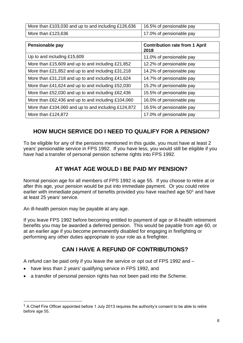| More than £103,030 and up to and including £126,636 | 16.5% of pensionable pay  |
|-----------------------------------------------------|---------------------------|
| More than $£123,636$                                | 117.0% of pensionable pay |

| Pensionable pay                                     | <b>Contribution rate from 1 April</b><br>2018 |
|-----------------------------------------------------|-----------------------------------------------|
| Up to and including £15,609                         | 11.0% of pensionable pay                      |
| More than £15,609 and up to and including £21,852   | 12.2% of pensionable pay                      |
| More than £21,852 and up to and including £31,218   | 14.2% of pensionable pay                      |
| More than £31,218 and up to and including £41,624   | 14.7% of pensionable pay                      |
| More than £41,624 and up to and including £52,030   | 15.2% of pensionable pay                      |
| More than £52,030 and up to and including £62,436   | 15.5% of pensionable pay                      |
| More than £62,436 and up to and including £104,060  | 16.0% of pensionable pay                      |
| More than £104,060 and up to and including £124,872 | 16.5% of pensionable pay                      |
| More than £124,872                                  | 17.0% of pensionable pay                      |

## **HOW MUCH SERVICE DO I NEED TO QUALIFY FOR A PENSION?**

To be eligible for any of the pensions mentioned in this guide, you must have at least 2 years' pensionable service in FPS 1992. If you have less, you would still be eligible if you have had a transfer of personal pension scheme rights into FPS 1992.

## **AT WHAT AGE WOULD I BE PAID MY PENSION?**

Normal pension age for all members of FPS 1992 is age 55. If you choose to retire at or after this age, your pension would be put into immediate payment. Or you could retire earlier with immediate payment of benefits provided you have reached age  $50<sup>1</sup>$  and have at least 25 years' service.

An ill-health pension may be payable at any age.

 $\overline{a}$ 

If you leave FPS 1992 before becoming entitled to payment of age or ill-health retirement benefits you may be awarded a deferred pension. This would be payable from age 60, or at an earlier age if you become permanently disabled for engaging in firefighting or performing any other duties appropriate to your role as a firefighter.

## **CAN I HAVE A REFUND OF CONTRIBUTIONS?**

A refund can be paid only if you leave the service or opt out of FPS 1992 and –

- have less than 2 years' qualifying service in FPS 1992, and
- a transfer of personal pension rights has not been paid into the Scheme.

 $1$  A Chief Fire Officer appointed before 1 July 2013 requires the authority's consent to be able to retire before age 55.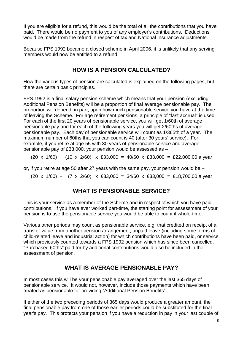If you are eligible for a refund, this would be the total of all the contributions that you have paid. There would be no payment to you of any employer's contributions. Deductions would be made from the refund in respect of tax and National Insurance adjustments.

Because FPS 1992 became a closed scheme in April 2006, it is unlikely that any serving members would now be entitled to a refund.

#### **HOW IS A PENSION CALCULATED?**

How the various types of pension are calculated is explained on the following pages, but there are certain basic principles.

FPS 1992 is a final salary pension scheme which means that your pension (excluding Additional Pension Benefits) will be a proportion of final average pensionable pay. The proportion will depend, in part, upon how much pensionable service you have at the time of leaving the Scheme. For age retirement pensions, a principle of "fast accrual" is used. For each of the first 20 years of pensionable service, you will get 1/60th of average pensionable pay and for each of the following years you will get 2/60ths of average pensionable pay. Each day of pensionable service will count as 1/365th of a year. The maximum number of 60ths that you can count is 40 (after 30 years' service). For example, if you retire at age 55 with 30 years of pensionable service and average pensionable pay of £33,000, your pension would be assessed as –

 $(20 \times 1/60) + (10 \times 2/60) \times £33,000 = 40/60 \times £33,000 = £22,000.00$  a year

or, if you retire at age 50 after 27 years with the same pay, your pension would be –

 $(20 \times 1/60)$  +  $(7 \times 2/60)$  x £33,000 = 34/60 x £33,000 = £18,700.00 a year

#### **WHAT IS PENSIONABLE SERVICE?**

This is your service as a member of the Scheme and in respect of which you have paid contributions. If you have ever worked part-time, the starting point for assessment of your pension is to use the pensionable service you would be able to count if whole-time.

Various other periods may count as pensionable service, e.g. that credited on receipt of a transfer value from another pension arrangement, unpaid leave (including some forms of child-related leave and industrial action) for which contributions have been paid, or service which previously counted towards a FPS 1992 pension which has since been cancelled. "Purchased 60ths" paid for by additional contributions would also be included in the assessment of pension.

#### **WHAT IS AVERAGE PENSIONABLE PAY?**

In most cases this will be your pensionable pay averaged over the last 365 days of pensionable service. It would not, however, include those payments which have been treated as pensionable for providing "Additional Pension Benefits".

If either of the two preceding periods of 365 days would produce a greater amount, the final pensionable pay from one of those earlier periods could be substituted for the final year's pay. This protects your pension if you have a reduction in pay in your last couple of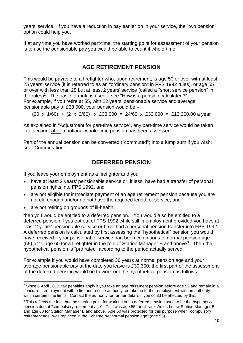years' service. If you have a reduction in pay earlier on in your service, the "two pension" option could help you.

If at any time you have worked part-time, the starting point for assessment of your pension is to use the pensionable pay you would be able to count if whole-time.

## **AGE RETIREMENT PENSION**

This would be payable to a firefighter who, upon retirement, is age 50 or over with at least 25 years' service (it is referred to as an "ordinary pension" in FPS 1992 rules), or age 55 or over with less than 25 but at least 2 years' service (called a "short service pension" in the rules)<sup>2</sup>. The basic formula is used  $-$  see "How is a pension calculated?". For example, if you retire at 55, with 22 years' pensionable service and average pensionable pay of £33,000, your pension would be –

 $(20 \times 1/60) + (2 \times 2/60) \times 233,000 = 24/60 \times 233,000 = 213,200.00$  a year

As explained in "Adjustment for part-time service", any part-time service would be taken into account after a notional whole-time pension has been assessed.

Part of the annual pension can be converted ("commuted") into a lump sum if you wish; see "Commutation".

## **DEFERRED PENSION**

If you leave your employment as a firefighter and you

- have at least 2 years' pensionable service or, if less, have had a transfer of personal pension rights into FPS 1992, and
- are not eligible for immediate payment of an age retirement pension because you are not old enough and/or do not have the required length of service, and
- are not retiring on grounds of ill-health,

then you would be entitled to a deferred pension. You would also be entitled to a deferred pension if you opt out of FPS 1992 while still in employment provided you have at least 2 years' pensionable service or have had a personal pension transfer into FPS 1992. A deferred pension is calculated by first assessing the "hypothetical" pension you would have received if your pensionable service had been continuous to normal pension age  $(55)$  or to age 60 for a firefighter in the role of Station Manager B and above<sup>3</sup>. Then the hypothetical pension is "pro rated" according to the period actually served.

For example if you would have completed 30 years at normal pension age and your average pensionable pay at the date you leave is £30,300, the first part of the assessment of the deferred pension would be to work out the hypothetical pension as follows –

 $\overline{a}$  $2$  Since 6 April 2010, tax penalties apply if you take an age retirement pension before age 55 and remain in a concurrent employment with a fire and rescue authority, or take up further employment with an authority within certain time limits. Contact the authority for further details if you could be affected by this.

<sup>&</sup>lt;sup>3</sup> This reflects the fact that the starting point for working out a deferred pension used to be the hypothetical pension due at "compulsory retirement age". This was age 55 for all ranks/roles below Station Manager B and age 60 for Station Manager B and above. Age 60 was protected for this purpose when "compulsory retirement age" was replaced in the Scheme by "normal pension age" (age 55).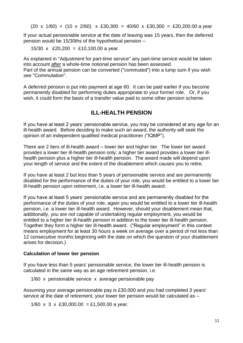$(20 \times 1/60) + (10 \times 2/60) \times £30,300 = 40/60 \times £30,300 = £20,200.00$  a year

If your actual pensionable service at the date of leaving was 15 years, then the deferred pension would be 15/30ths of the hypothetical pension –

15/30 x £20,200 = £10,100.00 a year.

As explained in "Adjustment for part-time service" any part-time service would be taken into account after a whole-time notional pension has been assessed. Part of the annual pension can be converted ("commuted") into a lump sum if you wish see "Commutation".

A deferred pension is put into payment at age 60. It can be paid earlier if you become permanently disabled for performing duties appropriate to your former role. Or, if you wish, it could form the basis of a transfer value paid to some other pension scheme.

#### **ILL-HEALTH PENSION**

If you have at least 2 years' pensionable service, you may be considered at any age for an ill-health award. Before deciding to make such an award, the authority will seek the opinion of an independent qualified medical practitioner ("IQMP").

There are 2 tiers of ill-health award – lower tier and higher tier. The lower tier award provides a lower tier ill-health pension only; a higher tier award provides a lower tier illhealth pension plus a higher tier ill-health pension. The award made will depend upon your length of service and the extent of the disablement which causes you to retire.

If you have at least 2 but less than 5 years of pensionable service and are permanently disabled for the performance of the duties of your role, you would be entitled to a lower tier ill-health pension upon retirement, i.e. a lower tier ill-health award.

If you have at least 5 years' pensionable service and are permanently disabled for the performance of the duties of your role, again you would be entitled to a lower tier ill-health pension, i.e. a lower tier ill-health award. However, should your disablement mean that, additionally, you are not capable of undertaking regular employment, you would be entitled to a higher tier ill-health pension in addition to the lower tier ill-health pension. Together they form a higher tier ill-health award. ("Regular employment" in this context means employment for at least 30 hours a week on average over a period of not less than 12 consecutive months beginning with the date on which the question of your disablement arises for decision.)

#### **Calculation of lower tier pension**

If you have less than 5 years' pensionable service, the lower tier ill-health pension is calculated in the same way as an age retirement pension, i.e.

1/60 x pensionable service x average pensionable pay

Assuming your average pensionable pay is £30,000 and you had completed 3 years' service at the date of retirement, your lower tier pension would be calculated as –

1/60 x 3 x £30,000.00 = £1,500.00 a year.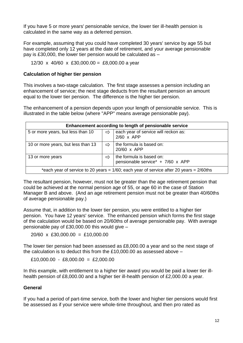If you have 5 or more years' pensionable service, the lower tier ill-health pension is calculated in the same way as a deferred pension.

For example, assuming that you could have completed 30 years' service by age 55 but have completed only 12 years at the date of retirement, and your average pensionable pay is £30,000, the lower tier pension would be calculated as –

#### 12/30 x 40/60 x £30,000.00 = £8,000.00 a year

#### **Calculation of higher tier pension**

This involves a two-stage calculation. The first stage assesses a pension including an enhancement of service; the next stage deducts from the resultant pension an amount equal to the lower tier pension. The difference is the higher tier pension.

The enhancement of a pension depends upon your length of pensionable service. This is illustrated in the table below (where "APP" means average pensionable pay).

| Enhancement according to length of pensionable service                                        |               |                                                                      |  |  |
|-----------------------------------------------------------------------------------------------|---------------|----------------------------------------------------------------------|--|--|
| 5 or more years, but less than 10                                                             | $\Rightarrow$ | each year of service will reckon as:<br>$2/60$ x APP                 |  |  |
| 10 or more years, but less than 13                                                            | ⇨             | the formula is based on:<br>20/60 x APP                              |  |  |
| 13 or more years                                                                              | ⇨             | the formula is based on:<br>pensionable service* $+ 7/60 \times APP$ |  |  |
| *each year of service to 20 years = $1/60$ ; each year of service after 20 years = $2/60$ ths |               |                                                                      |  |  |

The resultant pension, however, must not be greater than the age retirement pension that could be achieved at the normal pension age of 55, or age 60 in the case of Station Manager B and above. (And an age retirement pension must not be greater than 40/60ths of average pensionable pay.)

Assume that, in addition to the lower tier pension, you were entitled to a higher tier pension. You have 12 years' service. The enhanced pension which forms the first stage of the calculation would be based on 20/60ths of average pensionable pay. With average pensionable pay of £30,000.00 this would give –

20/60 x £30,000.00 = £10,000.00

The lower tier pension had been assessed as £8,000.00 a year and so the next stage of the calculation is to deduct this from the £10,000.00 as assessed above –

 $£10,000.00 - £8,000.00 = £2,000.00$ 

In this example, with entitlement to a higher tier award you would be paid a lower tier illhealth pension of £8,000.00 and a higher tier ill-health pension of £2,000.00 a year.

#### **General**

If you had a period of part-time service, both the lower and higher tier pensions would first be assessed as if your service were whole-time throughout, and then pro rated as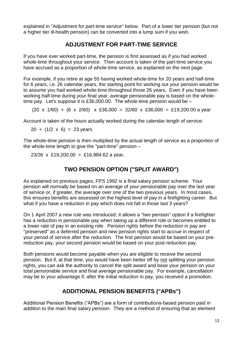explained in "Adjustment for part-time service" below. Part of a lower tier pension (but not a higher tier ill-health pension) can be converted into a lump sum if you wish.

## **ADJUSTMENT FOR PART-TIME SERVICE**

If you have ever worked part-time, the pension is first assessed as if you had worked whole-time throughout your service. Then account is taken of the part-time service you have accrued as a proportion of whole-time service, as explained on the next page.

For example, if you retire at age 55 having worked whole-time for 20 years and half-time for 6 years, i.e. 26 calendar years, the starting point for working out your pension would be to assume you had worked whole-time throughout those 26 years. Even if you have been working half-time during your final year, average pensionable pay is based on the wholetime pay. Let's suppose it is £36,000,00. The whole-time pension would be  $-$ 

 $(20 \times 1/60) + (6 \times 2/60) \times 236,000 = 32/60 \times 236,000 = 119,200,00$  a year

Account is taken of the hours actually worked during the calendar length of service:

 $20 + (1/2 \times 6) = 23$  years

The whole-time pension is then multiplied by the actual length of service as a proportion of the whole-time length to give the "part-time" pension –

23/26 x £19,200.00 = £16,984.62 a year.

#### **TWO PENSION OPTION ("SPLIT AWARD")**

As explained on previous pages, FPS 1992 is a final salary pension scheme. Your pension will normally be based on an average of your pensionable pay over the last year of service or, if greater, the average over one of the two previous years. In most cases, this ensures benefits are assessed on the highest level of pay in a firefighting career. But what if you have a reduction in pay which does not fall in those last 3 years?

On 1 April 2007 a new rule was introduced; it allows a "two pension" option if a firefighter has a reduction in pensionable pay when taking up a different role or becomes entitled to a lower rate of pay in an existing role. Pension rights before the reduction in pay are "preserved" as a deferred pension and new pension rights start to accrue in respect of your period of service after the reduction. The first pension would be based on your prereduction pay, your second pension would be based on your post-reduction pay.

Both pensions would become payable when you are eligible to receive the second pension. But if, at that time, you would have been better off by not splitting your pension rights, you can ask the authority to cancel the split award and base your pension on your total pensionable service and final average pensionable pay. For example, cancellation may be to your advantage if, after the initial reduction in pay, you received a promotion.

## **ADDITIONAL PENSION BENEFITS ("APBs")**

Additional Pension Benefits ("APBs") are a form of contributions-based pension paid in addition to the main final salary pension. They are a method of ensuring that an element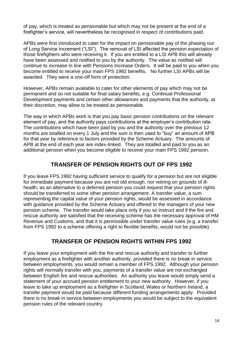of pay, which is treated as pensionable but which may not be present at the end of a firefighter's service, will nevertheless be recognised in respect of contributions paid.

APBs were first introduced to cater for the impact on pensionable pay of the phasing out of Long Service Increment ("LSI"). The removal of LSI affected the pension expectation of those firefighters who were receiving it. If you are entitled to a LSI APB this will already have been assessed and notified to you by the authority. The value as notified will continue to increase in line with Pensions Increase Orders. It will be paid to you when you become entitled to receive your main FPS 1992 benefits. No further LSI APBs will be awarded. They were a one-off form of protection.

However, APBs remain available to cater for other elements of pay which may not be permanent and so not suitable for final salary benefits, e.g. Continual Professional Development payments and certain other allowances and payments that the authority, at their discretion, may allow to be treated as pensionable.

The way in which APBs work is that you pay basic pension contributions on the relevant element of pay, and the authority pays contributions at the employer's contribution rate. The contributions which have been paid by you and the authority over the previous 12 months are totalled on every 1 July and the sum is then used to "buy" an amount of APB for that year by reference to factors provided by the Scheme Actuary. The amounts of APB at the end of each year are index-linked. They are totalled and paid to you as an additional pension when you become eligible to receive your main FPS 1992 pension.

#### **TRANSFER OF PENSION RIGHTS OUT OF FPS 1992**

If you leave FPS 1992 having sufficient service to qualify for a pension but are not eligible for immediate payment because you are not old enough, nor retiring on grounds of illhealth, as an alternative to a deferred pension you could request that your pension rights should be transferred to some other pension arrangement. A transfer value, a sum representing the capital value of your pension rights, would be assessed in accordance with guidance provided by the Scheme Actuary and offered to the managers of your new pension scheme. The transfer would take place only if you so instruct and if the fire and rescue authority are satisfied that the receiving scheme has the necessary approval of HM Revenue and Customs, and that it is permissible under transfer value rules (e.g. a transfer from FPS 1992 to a scheme offering a right to flexible benefits, would not be possible).

#### **TRANSFER OF PENSION RIGHTS WITHIN FPS 1992**

If you leave your employment with the fire and rescue authority and transfer to further employment as a firefighter with another authority, provided there is no break in service between employments, you would remain a member of FPS 1992. Although your pension rights will normally transfer with you, payments of a transfer value are not exchanged between English fire and rescue authorities. An authority you leave would simply send a statement of your accrued pension entitlement to your new authority. However, if you leave to take up employment as a firefighter in Scotland, Wales or Northern Ireland, a transfer payment would be paid because different funding arrangements apply. Provided there is no break in service between employments you would be subject to the equivalent pension rules of the relevant country.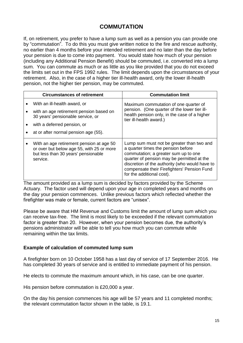#### **COMMUTATION**

If, on retirement, you prefer to have a lump sum as well as a pension you can provide one by "commutation". To do this you must give written notice to the fire and rescue authority, no earlier than 4 months before your intended retirement and no later than the day before your pension is due to come into payment. You would state how much of your pension (including any Additional Pension Benefit) should be commuted, i.e. converted into a lump sum. You can commute as much or as little as you like provided that you do not exceed the limits set out in the FPS 1992 rules. The limit depends upon the circumstances of your retirement. Also, in the case of a higher tier ill-health award, only the lower ill-health pension, not the higher tier pension, may be commuted.

| <b>Circumstances of retirement</b>                                                                                                       | <b>Commutation limit</b>                                                                                                                                                                                                                                                                            |  |  |  |  |
|------------------------------------------------------------------------------------------------------------------------------------------|-----------------------------------------------------------------------------------------------------------------------------------------------------------------------------------------------------------------------------------------------------------------------------------------------------|--|--|--|--|
| With an ill-health award, or                                                                                                             | Maximum commutation of one quarter of                                                                                                                                                                                                                                                               |  |  |  |  |
| with an age retirement pension based on<br>30 years' pensionable service, or                                                             | pension. (One quarter of the lower tier ill-<br>health pension only, in the case of a higher<br>tier ill-health award.)                                                                                                                                                                             |  |  |  |  |
| with a deferred pension, or                                                                                                              |                                                                                                                                                                                                                                                                                                     |  |  |  |  |
| at or after normal pension age (55).                                                                                                     |                                                                                                                                                                                                                                                                                                     |  |  |  |  |
| With an age retirement pension at age 50<br>or over but below age 55, with 25 or more<br>but less than 30 years' pensionable<br>service. | Lump sum must not be greater than two and<br>a quarter times the pension before<br>commutation; a greater sum up to one<br>quarter of pension may be permitted at the<br>discretion of the authority (who would have to<br>compensate their Firefighters' Pension Fund<br>for the additional cost). |  |  |  |  |

The amount provided as a lump sum is decided by factors provided by the Scheme Actuary. The factor used will depend upon your age in completed years and months on the day your pension commences. Unlike previous factors which reflected whether the firefighter was male or female, current factors are "unisex".

Please be aware that HM Revenue and Customs limit the amount of lump sum which you can receive tax-free. The limit is most likely to be exceeded if the relevant commutation factor is greater than 20. However, when your pension becomes due, the authority's pensions administrator will be able to tell you how much you can commute while remaining within the tax limits.

#### **Example of calculation of commuted lump sum**

A firefighter born on 10 October 1958 has a last day of service of 17 September 2016. He has completed 30 years of service and is entitled to immediate payment of his pension.

He elects to commute the maximum amount which, in his case, can be one quarter.

His pension before commutation is £20,000 a year.

On the day his pension commences his age will be 57 years and 11 completed months; the relevant commutation factor shown in the table, is 19.1.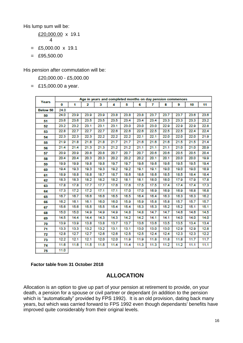His lump sum will be:

£20,000.00 x 19.1 4  $=$  £5,000.00 x 19.1

 $=$  £95,500.00

His pension after commutation will be:

£20,000.00 - £5,000.00

 $=$  £15,000.00 a year.

|                 | Age in years and completed months on day pension commences |      |      |      |      |      |      |      |      |      |      |      |
|-----------------|------------------------------------------------------------|------|------|------|------|------|------|------|------|------|------|------|
| Years           | 0                                                          | 1    | 2    | 3    | 4    | 5    | 6    | 7    | 8    | 9    | 10   | 11   |
| <b>Below 50</b> | 24.0                                                       |      |      |      |      |      |      |      |      |      |      |      |
| 50              | 24.0                                                       | 23.9 | 23.9 | 23.9 | 23.8 | 23.8 | 23.8 | 23.7 | 23.7 | 23.7 | 23.6 | 23.6 |
| 51              | 23.6                                                       | 23.6 | 23.5 | 23.5 | 23.5 | 23.4 | 23.4 | 23.4 | 23.3 | 23.3 | 23.3 | 23.2 |
| 52              | 23.2                                                       | 23.2 | 23.1 | 23.1 | 23.1 | 23.0 | 23.0 | 23.0 | 22.9 | 22.9 | 22.9 | 22.8 |
| 53              | 22.8                                                       | 22.7 | 22.7 | 22.7 | 22.6 | 22.6 | 22.6 | 22.5 | 22.5 | 22.5 | 22.4 | 22.4 |
| 54              | 22.3                                                       | 22.3 | 22.3 | 22.2 | 22.2 | 22.2 | 22.1 | 22.1 | 22.0 | 22.0 | 22.0 | 21.9 |
| 55              | 21.9                                                       | 21.8 | 21.8 | 21.8 | 21.7 | 21.7 | 21.6 | 21.6 | 21.6 | 21.5 | 21.5 | 21.4 |
| 56              | 21.4                                                       | 21.4 | 21.3 | 21.3 | 21.2 | 21.2 | 21.1 | 21.1 | 21.1 | 21.0 | 21.0 | 20.9 |
| 57              | 20.9                                                       | 20.9 | 20.8 | 20.8 | 20.7 | 20.7 | 20.7 | 20.6 | 20.6 | 20.5 | 20.5 | 20.4 |
| 58              | 20.4                                                       | 20.4 | 20.3 | 20.3 | 20.2 | 20.2 | 20.2 | 20.1 | 20.1 | 20.0 | 20.0 | 19.9 |
| 59              | 19.9                                                       | 19.9 | 19.8 | 19.8 | 19.7 | 19.7 | 19.6 | 19.6 | 19.6 | 19.5 | 19.5 | 19.4 |
| 60              | 19.4                                                       | 19.3 | 19.3 | 19.3 | 19.2 | 19.2 | 19.1 | 19.1 | 19.0 | 19.0 | 19.0 | 18.9 |
| 61              | 18.9                                                       | 18.8 | 18.8 | 18.7 | 18.7 | 18.6 | 18.6 | 18.6 | 18.5 | 18.5 | 18.4 | 18.4 |
| 62              | 18.3                                                       | 18.3 | 18.2 | 18.2 | 18.2 | 18.1 | 18.1 | 18.0 | 18.0 | 17.9 | 17.9 | 17.8 |
| 63              | 17.8                                                       | 17.8 | 17.7 | 17.7 | 17.6 | 17.6 | 17.5 | 17.5 | 17.4 | 17.4 | 17.4 | 17.3 |
| 64              | 17.3                                                       | 17.2 | 17.2 | 17.1 | 17.1 | 17.0 | 17.0 | 16.9 | 16.9 | 16.9 | 16.8 | 16.8 |
| 65              | 16.7                                                       | 16.7 | 16.6 | 16.6 | 16.5 | 16.5 | 16.4 | 16.4 | 16.3 | 16.3 | 16.3 | 16.2 |
| 66              | 16.2                                                       | 16.1 | 16.1 | 16.0 | 16.0 | 15.9 | 15.9 | 15.8 | 15.8 | 15.7 | 15.7 | 15.7 |
| 67              | 15.6                                                       | 15.6 | 15.5 | 15.5 | 15.4 | 15.4 | 15.3 | 15.3 | 15.2 | 15.2 | 15.1 | 15.1 |
| 68              | 15.0                                                       | 15.0 | 14.9 | 14.9 | 14.9 | 14.8 | 14.8 | 14.7 | 14.7 | 14.6 | 14.6 | 14.5 |
| 69              | 14.5                                                       | 14.4 | 14.4 | 14.3 | 14.3 | 14.2 | 14.2 | 14.1 | 14.1 | 14.0 | 14.0 | 14.0 |
| 70              | 13.9                                                       | 13.9 | 13.8 | 13.8 | 13.7 | 13.7 | 13.6 | 13.6 | 13.5 | 13.5 | 13.4 | 13.4 |
| 71              | 13.3                                                       | 13.3 | 13.2 | 13.2 | 13.1 | 13.1 | 13.0 | 13.0 | 13.0 | 12.9 | 12.9 | 12.8 |
| 72              | 12.8                                                       | 12.7 | 12.7 | 12.6 | 12.6 | 12.5 | 12.5 | 12.4 | 12.4 | 12.3 | 12.3 | 12.2 |
| 73              | 12.2                                                       | 12.1 | 12.1 | 12.0 | 12.0 | 11.9 | 11.9 | 11.8 | 11.8 | 11.8 | 11.7 | 11.7 |
| 74              | 11.6                                                       | 11.6 | 11.5 | 11.5 | 11.4 | 11.4 | 11.3 | 11.3 | 11.2 | 11.2 | 11.1 | 11.1 |
| 75              | 11.0                                                       |      |      |      |      |      |      |      |      |      |      |      |

#### **Factor table from 31 October 2018**

#### **ALLOCATION**

Allocation is an option to give up part of your pension at retirement to provide, on your death, a pension for a spouse or civil partner or dependant (in addition to the pension which is "automatically" provided by FPS 1992). It is an old provision, dating back many years, but which was carried forward to FPS 1992 even though dependants' benefits have improved quite considerably from their original levels.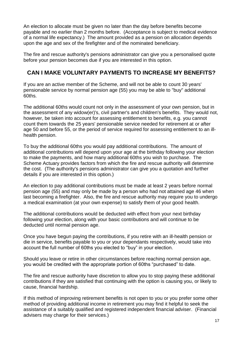An election to allocate must be given no later than the day before benefits become payable and no earlier than 2 months before. (Acceptance is subject to medical evidence of a normal life expectancy.) The amount provided as a pension on allocation depends upon the age and sex of the firefighter and of the nominated beneficiary.

The fire and rescue authority's pensions administrator can give you a personalised quote before your pension becomes due if you are interested in this option.

#### **CAN I MAKE VOLUNTARY PAYMENTS TO INCREASE MY BENEFITS?**

If you are an active member of the Scheme, and will not be able to count 30 years' pensionable service by normal pension age (55) you may be able to "buy" additional 60ths.

The additional 60ths would count not only in the assessment of your own pension, but in the assessment of any widow(er)'s, civil partner's and children's benefits. They would not, however, be taken into account for assessing entitlement to benefits, e.g. you cannot count them towards the 25 years' pensionable service needed for retirement at or after age 50 and before 55, or the period of service required for assessing entitlement to an illhealth pension.

To buy the additional 60ths you would pay additional contributions. The amount of additional contributions will depend upon your age at the birthday following your election to make the payments, and how many additional 60ths you wish to purchase. The Scheme Actuary provides factors from which the fire and rescue authority will determine the cost. (The authority's pensions administrator can give you a quotation and further details if you are interested in this option.)

An election to pay additional contributions must be made at least 2 years before normal pension age (55) and may only be made by a person who had not attained age 46 when last becoming a firefighter. Also, the fire and rescue authority may require you to undergo a medical examination (at your own expense) to satisfy them of your good health.

The additional contributions would be deducted with effect from your next birthday following your election, along with your basic contributions and will continue to be deducted until normal pension age.

Once you have begun paying the contributions, if you retire with an ill-health pension or die in service, benefits payable to you or your dependants respectively, would take into account the full number of 60ths you elected to "buy" in your election.

Should you leave or retire in other circumstances before reaching normal pension age, you would be credited with the appropriate portion of 60ths "purchased" to date.

The fire and rescue authority have discretion to allow you to stop paying these additional contributions if they are satisfied that continuing with the option is causing you, or likely to cause, financial hardship.

If this method of improving retirement benefits is not open to you or you prefer some other method of providing additional income in retirement you may find it helpful to seek the assistance of a suitably qualified and registered independent financial adviser. (Financial advisers may charge for their services.)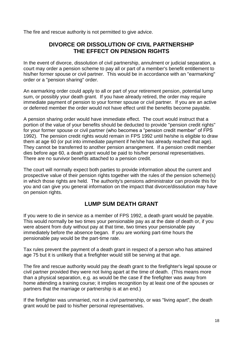The fire and rescue authority is not permitted to give advice.

#### **DIVORCE OR DISSOLUTION OF CIVIL PARTNERSHIP THE EFFECT ON PENSION RIGHTS**

In the event of divorce, dissolution of civil partnership, annulment or judicial separation, a court may order a pension scheme to pay all or part of a member's benefit entitlement to his/her former spouse or civil partner. This would be in accordance with an "earmarking" order or a "pension sharing" order.

An earmarking order could apply to all or part of your retirement pension, potential lump sum, or possibly your death grant. If you have already retired, the order may require immediate payment of pension to your former spouse or civil partner. If you are an active or deferred member the order would not have effect until the benefits become payable.

A pension sharing order would have immediate effect. The court would instruct that a portion of the value of your benefits should be deducted to provide "pension credit rights" for your former spouse or civil partner (who becomes a "pension credit member" of FPS 1992). The pension credit rights would remain in FPS 1992 until he/she is eligible to draw them at age 60 (or put into immediate payment if he/she has already reached that age). They cannot be transferred to another pension arrangement. If a pension credit member dies before age 60, a death grant would be paid to his/her personal representatives. There are no survivor benefits attached to a pension credit.

The court will normally expect both parties to provide information about the current and prospective value of their pension rights together with the rules of the pension scheme(s) in which those rights are held. The authority's pensions administrator can provide this for you and can give you general information on the impact that divorce/dissolution may have on pension rights.

## **LUMP SUM DEATH GRANT**

If you were to die in service as a member of FPS 1992, a death grant would be payable. This would normally be two times your pensionable pay as at the date of death or, if you were absent from duty without pay at that time, two times your pensionable pay immediately before the absence began. If you are working part-time hours the pensionable pay would be the part-time rate.

Tax rules prevent the payment of a death grant in respect of a person who has attained age 75 but it is unlikely that a firefighter would still be serving at that age.

The fire and rescue authority would pay the death grant to the firefighter's legal spouse or civil partner provided they were not living apart at the time of death. (This means more than a physical separation, e.g. as would be the case if the firefighter was away from home attending a training course; it implies recognition by at least one of the spouses or partners that the marriage or partnership is at an end.)

If the firefighter was unmarried, not in a civil partnership, or was "living apart", the death grant would be paid to his/her personal representatives.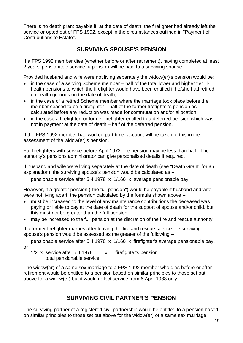There is no death grant payable if, at the date of death, the firefighter had already left the service or opted out of FPS 1992, except in the circumstances outlined in "Payment of Contributions to Estate".

#### **SURVIVING SPOUSE'S PENSION**

If a FPS 1992 member dies (whether before or after retirement), having completed at least 2 years' pensionable service, a pension will be paid to a surviving spouse.

Provided husband and wife were not living separately the widow(er)'s pension would be:

- in the case of a serving Scheme member half of the total lower and higher tier illhealth pensions to which the firefighter would have been entitled if he/she had retired on health grounds on the date of death;
- in the case of a retired Scheme member where the marriage took place before the member ceased to be a firefighter – half of the former firefighter's pension as calculated before any reduction was made for commutation and/or allocation;
- in the case a firefighter, or former firefighter entitled to a deferred pension which was not in payment at the date of death – half of the deferred pension.

If the FPS 1992 member had worked part-time, account will be taken of this in the assessment of the widow(er)'s pension.

For firefighters with service before April 1972, the pension may be less than half. The authority's pensions administrator can give personalised details if required.

If husband and wife were living separately at the date of death (see "Death Grant" for an explanation), the surviving spouse's pension would be calculated as –

pensionable service after 5.4.1978 x 1/160 x average pensionable pay

However, if a greater pension ("the full pension") would be payable if husband and wife were not living apart, the pension calculated by the formula shown above –

- must be increased to the level of any maintenance contributions the deceased was paying or liable to pay at the date of death for the support of spouse and/or child, but this must not be greater than the full pension;
- may be increased to the full pension at the discretion of the fire and rescue authority.

If a former firefighter marries after leaving the fire and rescue service the surviving spouse's pension would be assessed as the greater of the following –

pensionable service after 5.4.1978 x 1/160 x firefighter's average pensionable pay,

or

1/2 x service after 5.4.1978 x firefighter's pension total pensionable service

The widow(er) of a same sex marriage to a FPS 1992 member who dies before or after retirement would be entitled to a pension based on similar principles to those set out above for a widow(er) but it would reflect service from 6 April 1988 only.

## **SURVIVING CIVIL PARTNER'S PENSION**

The surviving partner of a registered civil partnership would be entitled to a pension based on similar principles to those set out above for the widow(er) of a same sex marriage.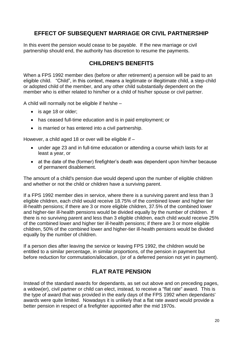#### **EFFECT OF SUBSEQUENT MARRIAGE OR CIVIL PARTNERSHIP**

In this event the pension would cease to be payable. If the new marriage or civil partnership should end, the authority has discretion to resume the payments.

#### **CHILDREN'S BENEFITS**

When a FPS 1992 member dies (before or after retirement) a pension will be paid to an eligible child. "Child", in this context, means a legitimate or illegitimate child, a step-child or adopted child of the member, and any other child substantially dependent on the member who is either related to him/her or a child of his/her spouse or civil partner.

A child will normally not be eligible if he/she –

- is age 18 or older;
- has ceased full-time education and is in paid employment; or
- is married or has entered into a civil partnership.

However, a child aged 18 or over will be eligible if –

- under age 23 and in full-time education or attending a course which lasts for at least a year, or
- at the date of the (former) firefighter's death was dependent upon him/her because of permanent disablement.

The amount of a child's pension due would depend upon the number of eligible children and whether or not the child or children have a surviving parent.

If a FPS 1992 member dies in service, where there is a surviving parent and less than 3 eligible children, each child would receive 18.75% of the combined lower and higher tier ill-health pensions; if there are 3 or more eligible children, 37.5% of the combined lower and higher-tier ill-health pensions would be divided equally by the number of children. If there is no surviving parent and less than 3 eligible children, each child would receive 25% of the combined lower and higher tier ill-health pensions; if there are 3 or more eligible children, 50% of the combined lower and higher-tier ill-health pensions would be divided equally by the number of children.

If a person dies after leaving the service or leaving FPS 1992, the children would be entitled to a similar percentage, in similar proportions, of the pension in payment but before reduction for commutation/allocation, (or of a deferred pension not yet in payment).

## **FLAT RATE PENSION**

Instead of the standard awards for dependants, as set out above and on preceding pages, a widow(er), civil partner or child can elect, instead, to receive a "flat rate" award. This is the type of award that was provided in the early days of the FPS 1992 when dependants' awards were quite limited. Nowadays it is unlikely that a flat rate award would provide a better pension in respect of a firefighter appointed after the mid 1970s.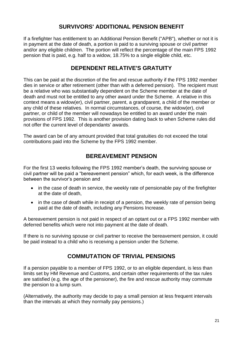## **SURVIVORS' ADDITIONAL PENSION BENEFIT**

If a firefighter has entitlement to an Additional Pension Benefit ("APB"), whether or not it is in payment at the date of death, a portion is paid to a surviving spouse or civil partner and/or any eligible children. The portion will reflect the percentage of the main FPS 1992 pension that is paid, e.g. half to a widow, 18.75% to a single eligible child, etc.

#### **DEPENDENT RELATIVE'S GRATUITY**

This can be paid at the discretion of the fire and rescue authority if the FPS 1992 member dies in service or after retirement (other than with a deferred pension). The recipient must be a relative who was substantially dependent on the Scheme member at the date of death and must not be entitled to any other award under the Scheme. A relative in this context means a widow(er), civil partner, parent, a grandparent, a child of the member or any child of these relatives. In normal circumstances, of course, the widow(er), civil partner, or child of the member will nowadays be entitled to an award under the main provisions of FPS 1992. This is another provision dating back to when Scheme rules did not offer the current level of dependants' awards.

The award can be of any amount provided that total gratuities do not exceed the total contributions paid into the Scheme by the FPS 1992 member.

#### **BEREAVEMENT PENSION**

For the first 13 weeks following the FPS 1992 member's death, the surviving spouse or civil partner will be paid a "bereavement pension" which, for each week, is the difference between the survivor's pension and

- in the case of death in service, the weekly rate of pensionable pay of the firefighter at the date of death,
- in the case of death while in receipt of a pension, the weekly rate of pension being paid at the date of death, including any Pensions Increase.

A bereavement pension is not paid in respect of an optant out or a FPS 1992 member with deferred benefits which were not into payment at the date of death.

If there is no surviving spouse or civil partner to receive the bereavement pension, it could be paid instead to a child who is receiving a pension under the Scheme.

## **COMMUTATION OF TRIVIAL PENSIONS**

If a pension payable to a member of FPS 1992, or to an eligible dependant, is less than limits set by HM Revenue and Customs, and certain other requirements of the tax rules are satisfied (e.g. the age of the pensioner), the fire and rescue authority may commute the pension to a lump sum.

(Alternatively, the authority may decide to pay a small pension at less frequent intervals than the intervals at which they normally pay pensions.)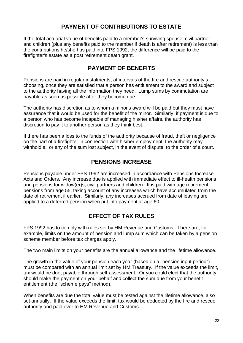## **PAYMENT OF CONTRIBUTIONS TO ESTATE**

If the total actuarial value of benefits paid to a member's surviving spouse, civil partner and children (plus any benefits paid to the member if death is after retirement) is less than the contributions he/she has paid into FPS 1992, the difference will be paid to the firefighter's estate as a post retirement death grant.

#### **PAYMENT OF BENEFITS**

Pensions are paid in regular instalments, at intervals of the fire and rescue authority's choosing, once they are satisfied that a person has entitlement to the award and subject to the authority having all the information they need. Lump sums by commutation are payable as soon as possible after they become due.

The authority has discretion as to whom a minor's award will be paid but they must have assurance that it would be used for the benefit of the minor. Similarly, if payment is due to a person who has become incapable of managing his/her affairs, the authority has discretion to pay it to another person as they think best.

If there has been a loss to the funds of the authority because of fraud, theft or negligence on the part of a firefighter in connection with his/her employment, the authority may withhold all or any of the sum lost subject, in the event of dispute, to the order of a court.

## **PENSIONS INCREASE**

Pensions payable under FPS 1992 are increased in accordance with Pensions Increase Acts and Orders. Any increase due is applied with immediate effect to ill-health pensions and pensions for widow(er)s, civil partners and children. It is paid with age retirement pensions from age 55, taking account of any increases which have accumulated from the date of retirement if earlier. Similarly, any increases accrued from date of leaving are applied to a deferred pension when put into payment at age 60.

## **EFFECT OF TAX RULES**

FPS 1992 has to comply with rules set by HM Revenue and Customs. There are, for example, limits on the amount of pension and lump sum which can be taken by a pension scheme member before tax charges apply.

The two main limits on your benefits are the annual allowance and the lifetime allowance.

The growth in the value of your pension each year (based on a "pension input period") must be compared with an annual limit set by HM Treasury. If the value exceeds the limit, tax would be due, payable through self-assessment. Or you could elect that the authority should make the payment on your behalf and collect the sum due from your benefit entitlement (the "scheme pays" method).

When benefits are due the total value must be tested against the lifetime allowance, also set annually. If the value exceeds the limit, tax would be deducted by the fire and rescue authority and paid over to HM Revenue and Customs.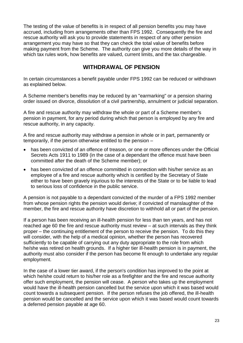The testing of the value of benefits is in respect of all pension benefits you may have accrued, including from arrangements other than FPS 1992. Consequently the fire and rescue authority will ask you to provide statements in respect of any other pension arrangement you may have so that they can check the total value of benefits before making payment from the Scheme. The authority can give you more details of the way in which tax rules work, how benefits are valued, current limits, and the tax chargeable.

## **WITHDRAWAL OF PENSION**

In certain circumstances a benefit payable under FPS 1992 can be reduced or withdrawn as explained below.

A Scheme member's benefits may be reduced by an "earmarking" or a pension sharing order issued on divorce, dissolution of a civil partnership, annulment or judicial separation.

A fire and rescue authority may withdraw the whole or part of a Scheme member's pension in payment, for any period during which that person is employed by any fire and rescue authority, in any capacity.

A fire and rescue authority may withdraw a pension in whole or in part, permanently or temporarily, if the person otherwise entitled to the pension –

- has been convicted of an offence of treason, or one or more offences under the Official Secrets Acts 1911 to 1989 (in the case of a dependant the offence must have been committed after the death of the Scheme member); or
- has been convicted of an offence committed in connection with his/her service as an employee of a fire and rescue authority which is certified by the Secretary of State either to have been gravely injurious to the interests of the State or to be liable to lead to serious loss of confidence in the public service.

A pension is not payable to a dependant convicted of the murder of a FPS 1992 member from whose pension rights the pension would derive; if convicted of manslaughter of the member, the fire and rescue authority have discretion to withhold all or part of the pension.

If a person has been receiving an ill-health pension for less than ten years, and has not reached age 60 the fire and rescue authority must review – at such intervals as they think proper – the continuing entitlement of the person to receive the pension. To do this they will consider, with the help of a medical opinion, whether the person has recovered sufficiently to be capable of carrying out any duty appropriate to the role from which he/she was retired on health grounds. If a higher tier ill-health pension is in payment, the authority must also consider if the person has become fit enough to undertake any regular employment.

In the case of a lower tier award, if the person's condition has improved to the point at which he/she could return to his/her role as a firefighter and the fire and rescue authority offer such employment, the pension will cease. A person who takes up the employment would have the ill-health pension cancelled but the service upon which it was based would count towards a subsequent pension. If the person refuses the job offered, the ill-health pension would be cancelled and the service upon which it was based would count towards a deferred pension payable at age 60.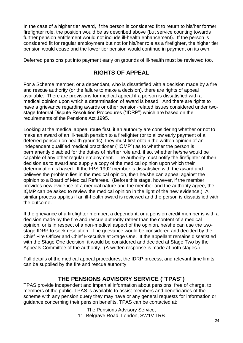In the case of a higher tier award, if the person is considered fit to return to his/her former firefighter role, the position would be as described above (but service counting towards further pension entitlement would not include ill-health enhancement). If the person is considered fit for regular employment but not for his/her role as a firefighter, the higher tier pension would cease and the lower tier pension would continue in payment on its own.

Deferred pensions put into payment early on grounds of ill-health must be reviewed too.

## **RIGHTS OF APPEAL**

For a Scheme member, or a dependant, who is dissatisfied with a decision made by a fire and rescue authority (or the failure to make a decision), there are rights of appeal available. There are provisions for medical appeal if a person is dissatisfied with a medical opinion upon which a determination of award is based. And there are rights to have a grievance regarding awards or other pension-related issues considered under twostage Internal Dispute Resolution Procedures ("IDRP") which are based on the requirements of the Pensions Act 1995.

Looking at the medical appeal route first, if an authority are considering whether or not to make an award of an ill-health pension to a firefighter (or to allow early payment of a deferred pension on health grounds), they must first obtain the written opinion of an independent qualified medical practitioner ("IQMP") as to whether the person is permanently disabled for the duties of his/her role and, if so, whether he/she would be capable of any other regular employment. The authority must notify the firefighter of their decision as to award and supply a copy of the medical opinion upon which their determination is based. If the FPS 1992 member is dissatisfied with the award and believes the problem lies in the medical opinion, then he/she can appeal against the opinion to a Board of Medical Referees. (Before this stage, however, if the member provides new evidence of a medical nature and the member and the authority agree, the IQMP can be asked to review the medical opinion in the light of the new evidence.) A similar process applies if an ill-health award is reviewed and the person is dissatisfied with the outcome.

If the grievance of a firefighter member, a dependant, or a pension credit member is with a decision made by the fire and rescue authority rather than the content of a medical opinion, or is in respect of a non-medical aspect of the opinion, he/she can use the twostage IDRP to seek resolution. The grievance would be considered and decided by the Chief Fire Officer and Chief Executive at Stage One. If the appellant remains dissatisfied with the Stage One decision, it would be considered and decided at Stage Two by the Appeals Committee of the authority. (A written response is made at both stages.)

Full details of the medical appeal procedures, the IDRP process, and relevant time limits can be supplied by the fire and rescue authority.

#### **THE PENSIONS ADVISORY SERVICE ("TPAS")**

TPAS provide independent and impartial information about pensions, free of charge, to members of the public. TPAS is available to assist members and beneficiaries of the scheme with any pension query they may have or any general requests for information or guidance concerning their pension benefits. TPAS can be contacted at:

> The Pensions Advisory Service, 11, Belgrave Road, London, SW1V 1RB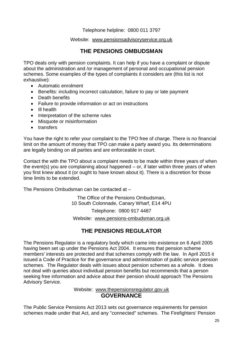Telephone helpline: 0800 011 3797

#### Website: [www.pensionsadvisoryservice.org.uk](http://www.pensionsadvisoryservice.org.uk/)

## **THE PENSIONS OMBUDSMAN**

TPO deals only with pension complaints. It can help if you have a complaint or dispute about the administration and /or management of personal and occupational pension schemes. Some examples of the types of complaints it considers are (this list is not exhaustive):

- Automatic enrolment
- Benefits: including incorrect calculation, failure to pay or late payment
- Death benefits
- Failure to provide information or act on instructions
- Ill health
- Interpretation of the scheme rules
- Misquote or misinformation
- transfers

You have the right to refer your complaint to the TPO free of charge. There is no financial limit on the amount of money that TPO can make a party award you. Its determinations are legally binding on all parties and are enforceable in court.

Contact the with the TPO about a complaint needs to be made within three years of when the event(s) you are complaining about happened – or, if later within three years of when you first knew about it (or ought to have known about it). There is a discretion for those time limits to be extended.

The Pensions Ombudsman can be contacted at –

The Office of the Pensions Ombudsman, 10 South Colonnade, Canary Wharf, E14 4PU

Telephone: 0800 917 4487

Website: [www.pensions-ombudsman.org.uk](http://www.pensions-ombudsman.org.uk/)

## **THE PENSIONS REGULATOR**

The Pensions Regulator is a regulatory body which came into existence on 6 April 2005 having been set up under the Pensions Act 2004. It ensures that pension scheme members' interests are protected and that schemes comply with the law. In April 2015 it issued a Code of Practice for the governance and administration of public service pension schemes. The Regulator deals with issues about pension schemes as a whole. It does not deal with queries about individual pension benefits but recommends that a person seeking free information and advice about their pension should approach The Pensions Advisory Service.

#### Website: [www.thepensionsregulator.gov.uk](http://www.thepensionsregulator.gov.uk/) **GOVERNANCE**

The Public Service Pensions Act 2013 sets out governance requirements for pension schemes made under that Act, and any "connected" schemes. The Firefighters' Pension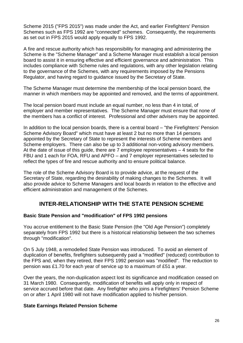Scheme 2015 ("FPS 2015") was made under the Act, and earlier Firefighters' Pension Schemes such as FPS 1992 are "connected" schemes. Consequently, the requirements as set out in FPS 2015 would apply equally to FPS 1992.

A fire and rescue authority which has responsibility for managing and administering the Scheme is the "Scheme Manager" and a Scheme Manager must establish a local pension board to assist it in ensuring effective and efficient governance and administration. This includes compliance with Scheme rules and regulations, with any other legislation relating to the governance of the Schemes, with any requirements imposed by the Pensions Regulator, and having regard to guidance issued by the Secretary of State.

The Scheme Manager must determine the membership of the local pension board, the manner in which members may be appointed and removed, and the terms of appointment.

The local pension board must include an equal number, no less than 4 in total, of employer and member representatives. The Scheme Manager must ensure that none of the members has a conflict of interest. Professional and other advisers may be appointed.

In addition to the local pension boards, there is a central board – "the Firefighters' Pension Scheme Advisory Board" which must have at least 2 but no more than 14 persons appointed by the Secretary of State to represent the interests of Scheme members and Scheme employers. There can also be up to 3 additional non-voting advisory members. At the date of issue of this guide, there are 7 employee representatives – 4 seats for the FBU and 1 each for FOA, RFU and APFO – and 7 employer representatives selected to reflect the types of fire and rescue authority and to ensure political balance.

The role of the Scheme Advisory Board is to provide advice, at the request of the Secretary of State, regarding the desirability of making changes to the Schemes. It will also provide advice to Scheme Managers and local boards in relation to the effective and efficient administration and management of the Schemes.

#### **INTER-RELATIONSHIP WITH THE STATE PENSION SCHEME**

#### **Basic State Pension and "modification" of FPS 1992 pensions**

You accrue entitlement to the Basic State Pension (the "Old Age Pension") completely separately from FPS 1992 but there is a historical relationship between the two schemes through "modification".

On 5 July 1948, a remodelled State Pension was introduced. To avoid an element of duplication of benefits, firefighters subsequently paid a "modified" (reduced) contribution to the FPS and, when they retired, their FPS 1992 pension was "modified". The reduction to pension was £1.70 for each year of service up to a maximum of £51 a year.

Over the years, the non-duplication aspect lost its significance and modification ceased on 31 March 1980. Consequently, modification of benefits will apply only in respect of service accrued before that date. Any firefighter who joins a Firefighters' Pension Scheme on or after 1 April 1980 will not have modification applied to his/her pension.

#### **State Earnings Related Pension Scheme**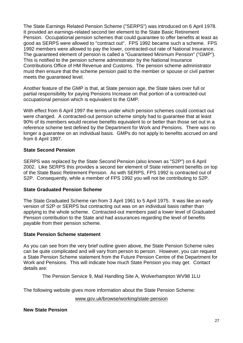The State Earnings Related Pension Scheme ("SERPS") was introduced on 6 April 1978. It provided an earnings-related second tier element to the State Basic Retirement Pension. Occupational pension schemes that could guarantee to offer benefits at least as good as SERPS were allowed to "contract out". FPS 1992 became such a scheme. FPS 1992 members were allowed to pay the lower, contracted-out rate of National Insurance. The guaranteed element of pension is called a "Guaranteed Minimum Pension" ("GMP"). This is notified to the pension scheme administrator by the National Insurance Contributions Office of HM Revenue and Customs. The pension scheme administrator must then ensure that the scheme pension paid to the member or spouse or civil partner meets the guaranteed level.

Another feature of the GMP is that, at State pension age, the State takes over full or partial responsibility for paying Pensions Increase on that portion of a contracted-out occupational pension which is equivalent to the GMP.

With effect from 6 April 1997 the terms under which pension schemes could contract out were changed. A contracted-out pension scheme simply had to guarantee that at least 90% of its members would receive benefits equivalent to or better than those set out in a reference scheme test defined by the Department for Work and Pensions. There was no longer a guarantee on an individual basis. GMPs do not apply to benefits accrued on and from 6 April 1997.

#### **State Second Pension**

SERPS was replaced by the State Second Pension (also known as "S2P") on 6 April 2002. Like SERPS this provides a second tier element of State retirement benefits on top of the State Basic Retirement Pension. As with SERPS, FPS 1992 is contracted out of S2P. Consequently, while a member of FPS 1992 you will not be contributing to S2P.

#### **State Graduated Pension Scheme**

The State Graduated Scheme ran from 3 April 1961 to 5 April 1975. It was like an early version of S2P or SERPS but contracting out was on an individual basis rather than applying to the whole scheme. Contracted-out members paid a lower level of Graduated Pension contribution to the State and had assurances regarding the level of benefits payable from their pension scheme.

#### **State Pension Scheme statement**

As you can see from the very brief outline given above, the State Pension Scheme rules can be quite complicated and will vary from person to person. However, you can request a State Pension Scheme statement from the Future Pension Centre of the Department for Work and Pensions. This will indicate how much State Pension you may get. Contact details are:

The Pension Service 9, Mail Handling Site A, Wolverhampton WV98 1LU

The following website gives more information about the State Pension Scheme:

[www.gov.uk/browse/working/state-pension](http://www.gov.uk/browse/working/state-pension)

#### **New State Pension**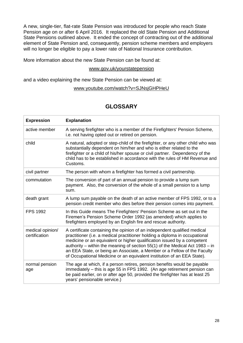A new, single-tier, flat-rate State Pension was introduced for people who reach State Pension age on or after 6 April 2016. It replaced the old State Pension and Additional State Pensions outlined above. It ended the concept of contracting out of the additional element of State Pension and, consequently, pension scheme members and employers will no longer be eligible to pay a lower rate of National Insurance contribution.

More information about the new State Pension can be found at:

#### [www.gov.uk/yourstatepension](http://www.gov.uk/yourstatepension)

and a video explaining the new State Pension can be viewed at:

#### [www.youtube.com/watch?v=SJNsjGHPHeU](http://www.youtube.com/watch?v=SJNsjGHPHeU)

#### **GLOSSARY**

| <b>Expression</b>                 | <b>Explanation</b>                                                                                                                                                                                                                                                                                                                                                                                                                                                          |
|-----------------------------------|-----------------------------------------------------------------------------------------------------------------------------------------------------------------------------------------------------------------------------------------------------------------------------------------------------------------------------------------------------------------------------------------------------------------------------------------------------------------------------|
| active member                     | A serving firefighter who is a member of the Firefighters' Pension Scheme,<br>i.e. not having opted out or retired on pension.                                                                                                                                                                                                                                                                                                                                              |
| child                             | A natural, adopted or step-child of the firefighter, or any other child who was<br>substantially dependent on him/her and who is either related to the<br>firefighter or a child of his/her spouse or civil partner. Dependency of the<br>child has to be established in accordance with the rules of HM Revenue and<br>Customs.                                                                                                                                            |
| civil partner                     | The person with whom a firefighter has formed a civil partnership.                                                                                                                                                                                                                                                                                                                                                                                                          |
| commutation                       | The conversion of part of an annual pension to provide a lump sum<br>payment. Also, the conversion of the whole of a small pension to a lump<br>sum.                                                                                                                                                                                                                                                                                                                        |
| death grant                       | A lump sum payable on the death of an active member of FPS 1992, or to a<br>pension credit member who dies before their pension comes into payment.                                                                                                                                                                                                                                                                                                                         |
| <b>FPS 1992</b>                   | In this Guide means The Firefighters' Pension Scheme as set out in the<br>Firemen's Pension Scheme Order 1992 (as amended) which applies to<br>firefighters employed by an English fire and rescue authority.                                                                                                                                                                                                                                                               |
| medical opinion/<br>certification | A certificate containing the opinion of an independent qualified medical<br>practitioner (i.e. a medical practitioner holding a diploma in occupational<br>medicine or an equivalent or higher qualification issued by a competent<br>authority – within the meaning of section $55(1)$ of the Medical Act 1983 – in<br>an EEA State, or being an Associate, a Member or a Fellow of the Faculty<br>of Occupational Medicine or an equivalent institution of an EEA State). |
| normal pension<br>age             | The age at which, if a person retires, pension benefits would be payable<br>immediately - this is age 55 in FPS 1992. (An age retirement pension can<br>be paid earlier, on or after age 50, provided the firefighter has at least 25<br>years' pensionable service.)                                                                                                                                                                                                       |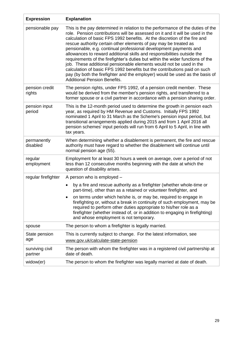| <b>Expression</b>          | <b>Explanation</b>                                                                                                                                                                                                                                                                                                                                                                                                                                                                                                                                                                                                                                                                                                                                                                                                            |
|----------------------------|-------------------------------------------------------------------------------------------------------------------------------------------------------------------------------------------------------------------------------------------------------------------------------------------------------------------------------------------------------------------------------------------------------------------------------------------------------------------------------------------------------------------------------------------------------------------------------------------------------------------------------------------------------------------------------------------------------------------------------------------------------------------------------------------------------------------------------|
| pensionable pay            | This is the pay determined in relation to the performance of the duties of the<br>role. Pension contributions will be assessed on it and it will be used in the<br>calculation of basic FPS 1992 benefits. At the discretion of the fire and<br>rescue authority certain other elements of pay may be treated as<br>pensionable, e.g. continual professional development payments and<br>allowances to reward additional skills and responsibilities outside the<br>requirements of the firefighter's duties but within the wider functions of the<br>job. These additional pensionable elements would not be used in the<br>calculation of basic FPS 1992 benefits but the contributions paid on such<br>pay (by both the firefighter and the employer) would be used as the basis of<br><b>Additional Pension Benefits.</b> |
| pension credit<br>rights   | The pension rights, under FPS 1992, of a pension credit member. These<br>would be derived from the member's pension rights, and transferred to a<br>former spouse or a civil partner in accordance with a pension sharing order.                                                                                                                                                                                                                                                                                                                                                                                                                                                                                                                                                                                              |
| pension input<br>period    | This is the 12-month period used to determine the growth in pension each<br>year, as required by HM Revenue and Customs. Initially FPS 1992<br>nominated 1 April to 31 March as the Scheme's pension input period, but<br>transitional arrangements applied during 2015 and from 1 April 2016 all<br>pension schemes' input periods will run from 6 April to 5 April, in line with<br>tax years.                                                                                                                                                                                                                                                                                                                                                                                                                              |
| permanently<br>disabled    | When determining whether a disablement is permanent, the fire and rescue<br>authority must have regard to whether the disablement will continue until<br>normal pension age (55).                                                                                                                                                                                                                                                                                                                                                                                                                                                                                                                                                                                                                                             |
| regular<br>employment      | Employment for at least 30 hours a week on average, over a period of not<br>less than 12 consecutive months beginning with the date at which the<br>question of disability arises.                                                                                                                                                                                                                                                                                                                                                                                                                                                                                                                                                                                                                                            |
| regular firefighter        | A person who is employed -                                                                                                                                                                                                                                                                                                                                                                                                                                                                                                                                                                                                                                                                                                                                                                                                    |
|                            | by a fire and rescue authority as a firefighter (whether whole-time or<br>$\bullet$<br>part-time), other than as a retained or volunteer firefighter, and                                                                                                                                                                                                                                                                                                                                                                                                                                                                                                                                                                                                                                                                     |
|                            | on terms under which he/she is, or may be, required to engage in<br>firefighting or, without a break in continuity of such employment, may be<br>required to perform other duties appropriate to his/her role as a<br>firefighter (whether instead of, or in addition to engaging in firefighting)<br>and whose employment is not temporary.                                                                                                                                                                                                                                                                                                                                                                                                                                                                                  |
| spouse                     | The person to whom a firefighter is legally married.                                                                                                                                                                                                                                                                                                                                                                                                                                                                                                                                                                                                                                                                                                                                                                          |
| State pension<br>age       | This is currently subject to change. For the latest information, see<br>www.gov.uk/calculate-state-pension                                                                                                                                                                                                                                                                                                                                                                                                                                                                                                                                                                                                                                                                                                                    |
| surviving civil<br>partner | The person with whom the firefighter was in a registered civil partnership at<br>date of death.                                                                                                                                                                                                                                                                                                                                                                                                                                                                                                                                                                                                                                                                                                                               |
| widow(er)                  | The person to whom the firefighter was legally married at date of death.                                                                                                                                                                                                                                                                                                                                                                                                                                                                                                                                                                                                                                                                                                                                                      |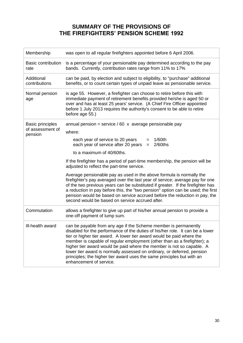## **SUMMARY OF THE PROVISIONS OF THE FIREFIGHTERS' PENSION SCHEME 1992**

| Membership                                             | was open to all regular firefighters appointed before 6 April 2006.                                                                                                                                                                                                                                                                                                                                                                                                                                                                                            |
|--------------------------------------------------------|----------------------------------------------------------------------------------------------------------------------------------------------------------------------------------------------------------------------------------------------------------------------------------------------------------------------------------------------------------------------------------------------------------------------------------------------------------------------------------------------------------------------------------------------------------------|
| <b>Basic contribution</b><br>rate                      | is a percentage of your pensionable pay determined according to the pay<br>bands. Currently, contribution rates range from 11% to 17%                                                                                                                                                                                                                                                                                                                                                                                                                          |
| Additional<br>contributions                            | can be paid, by election and subject to eligibility, to "purchase" additional<br>benefits, or to count certain types of unpaid leave as pensionable service.                                                                                                                                                                                                                                                                                                                                                                                                   |
| Normal pension<br>age                                  | is age 55. However, a firefighter can choose to retire before this with<br>immediate payment of retirement benefits provided he/she is aged 50 or<br>over and has at least 25 years' service. (A Chief Fire Officer appointed<br>before 1 July 2013 requires the authority's consent to be able to retire<br>before age 55.)                                                                                                                                                                                                                                   |
| <b>Basic principles</b><br>of assessment of<br>pension | annual pension = service / 60 $\times$ average pensionable pay                                                                                                                                                                                                                                                                                                                                                                                                                                                                                                 |
|                                                        | where:                                                                                                                                                                                                                                                                                                                                                                                                                                                                                                                                                         |
|                                                        | each year of service to 20 years<br>$1/60$ th<br>$=$<br>each year of service after 20 years $=$<br>$2/60$ ths                                                                                                                                                                                                                                                                                                                                                                                                                                                  |
|                                                        | to a maximum of 40/60ths.                                                                                                                                                                                                                                                                                                                                                                                                                                                                                                                                      |
|                                                        | If the firefighter has a period of part-time membership, the pension will be<br>adjusted to reflect the part-time service.                                                                                                                                                                                                                                                                                                                                                                                                                                     |
|                                                        | Average pensionable pay as used in the above formula is normally the<br>firefighter's pay averaged over the last year of service; average pay for one<br>of the two previous years can be substituted if greater. If the firefighter has<br>a reduction in pay before this, the "two pension" option can be used; the first<br>pension would be based on service accrued before the reduction in pay, the<br>second would be based on service accrued after.                                                                                                   |
| Commutation                                            | allows a firefighter to give up part of his/her annual pension to provide a<br>one-off payment of lump sum.                                                                                                                                                                                                                                                                                                                                                                                                                                                    |
| III-health award                                       | can be payable from any age if the Scheme member is permanently<br>disabled for the performance of the duties of his/her role. It can be a lower<br>tier or higher tier award. A lower tier award would be paid where the<br>member is capable of regular employment (other than as a firefighter); a<br>higher tier award would be paid where the member is not so capable. A<br>lower tier award is normally assessed on ordinary, or deferred, pension<br>principles; the higher tier award uses the same principles but with an<br>enhancement of service. |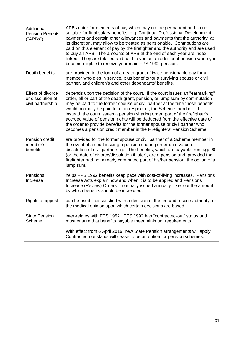| Additional<br><b>Pension Benefits</b><br>("APBs")           | APBs cater for elements of pay which may not be permanent and so not<br>suitable for final salary benefits, e.g. Continual Professional Development<br>payments and certain other allowances and payments that the authority, at<br>its discretion, may allow to be treated as pensionable. Contributions are<br>paid on this element of pay by the firefighter and the authority and are used<br>to buy an APB. The amounts of APB at the end of each year are index-<br>linked. They are totalled and paid to you as an additional pension when you<br>become eligible to receive your main FPS 1992 pension.                     |
|-------------------------------------------------------------|-------------------------------------------------------------------------------------------------------------------------------------------------------------------------------------------------------------------------------------------------------------------------------------------------------------------------------------------------------------------------------------------------------------------------------------------------------------------------------------------------------------------------------------------------------------------------------------------------------------------------------------|
| Death benefits                                              | are provided in the form of a death grant of twice pensionable pay for a<br>member who dies in service, plus benefits for a surviving spouse or civil<br>partner, and children's and other dependants' benefits.                                                                                                                                                                                                                                                                                                                                                                                                                    |
| Effect of divorce<br>or dissolution of<br>civil partnership | depends upon the decision of the court. If the court issues an "earmarking"<br>order, all or part of the death grant, pension, or lump sum by commutation<br>may be paid to the former spouse or civil partner at the time those benefits<br>would normally be paid to, or in respect of, the Scheme member. If,<br>instead, the court issues a pension sharing order, part of the firefighter's<br>accrued value of pension rights will be deducted from the effective date of<br>the order to provide benefits for the former spouse or civil partner who<br>becomes a pension credit member in the Firefighters' Pension Scheme. |
| Pension credit<br>member's<br>benefits                      | are provided for the former spouse or civil partner of a Scheme member in<br>the event of a court issuing a pension sharing order on divorce or<br>dissolution of civil partnership. The benefits, which are payable from age 60<br>(or the date of divorce/dissolution if later), are a pension and, provided the<br>firefighter had not already commuted part of his/her pension, the option of a<br>lump sum.                                                                                                                                                                                                                    |
| Pensions<br>Increase                                        | helps FPS 1992 benefits keep pace with cost-of-living increases. Pensions<br>Increase Acts explain how and when it is to be applied and Pensions<br>Increase (Review) Orders - normally issued annually - set out the amount<br>by which benefits should be increased.                                                                                                                                                                                                                                                                                                                                                              |
| Rights of appeal                                            | can be used if dissatisfied with a decision of the fire and rescue authority, or<br>the medical opinion upon which certain decisions are based.                                                                                                                                                                                                                                                                                                                                                                                                                                                                                     |
| <b>State Pension</b><br>Scheme                              | inter-relates with FPS 1992. FPS 1992 has "contracted-out" status and<br>must ensure that benefits payable meet minimum requirements.<br>With effect from 6 April 2016, new State Pension arrangements will apply.<br>Contracted-out status will cease to be an option for pension schemes.                                                                                                                                                                                                                                                                                                                                         |